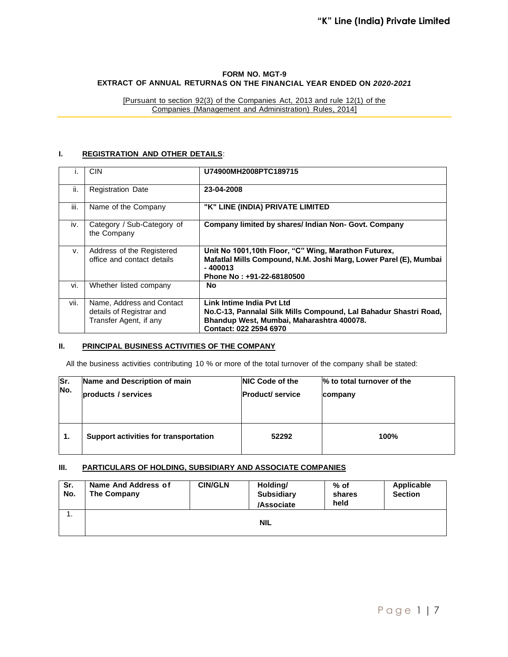### **FORM NO. MGT-9 EXTRACT OF ANNUAL RETURNAS ON THE FINANCIAL YEAR ENDED ON** *2020-2021*

[Pursuant to section 92(3) of the Companies Act, 2013 and rule 12(1) of the Companies (Management and Administration) Rules, 2014]

#### **I. REGISTRATION AND OTHER DETAILS**:

|      | <b>CIN</b>                                                                      | U74900MH2008PTC189715                                                                                                                                                |
|------|---------------------------------------------------------------------------------|----------------------------------------------------------------------------------------------------------------------------------------------------------------------|
| ii.  | <b>Registration Date</b>                                                        | 23-04-2008                                                                                                                                                           |
| iii. | Name of the Company                                                             | "K" LINE (INDIA) PRIVATE LIMITED                                                                                                                                     |
| iv.  | Category / Sub-Category of<br>the Company                                       | Company limited by shares/ Indian Non- Govt. Company                                                                                                                 |
| v.   | Address of the Registered<br>office and contact details                         | Unit No 1001,10th Floor, "C" Wing, Marathon Futurex,<br>Mafatlal Mills Compound, N.M. Joshi Marg, Lower Parel (E), Mumbai<br>- 400013<br>Phone No: +91-22-68180500   |
| vi.  | Whether listed company                                                          | <b>No</b>                                                                                                                                                            |
| vii. | Name, Address and Contact<br>details of Registrar and<br>Transfer Agent, if any | Link Intime India Pyt Ltd<br>No.C-13, Pannalal Silk Mills Compound, Lal Bahadur Shastri Road,<br>Bhandup West, Mumbai, Maharashtra 400078.<br>Contact: 022 2594 6970 |

#### **II. PRINCIPAL BUSINESS ACTIVITIES OF THE COMPANY**

All the business activities contributing 10 % or more of the total turnover of the company shall be stated:

| Sr. | Name and Description of main          | <b>NIC Code of the</b> | % to total turnover of the |
|-----|---------------------------------------|------------------------|----------------------------|
| No. | products / services                   | <b>Product/service</b> | company                    |
| 1.  | Support activities for transportation | 52292                  | 100%                       |

#### **III. PARTICULARS OF HOLDING, SUBSIDIARY AND ASSOCIATE COMPANIES**

| Sr.<br>No. | Name And Address of<br>The Company | <b>CIN/GLN</b> | Holding/<br><b>Subsidiary</b><br>/Associate | $%$ of<br>shares<br>held | Applicable<br><b>Section</b> |
|------------|------------------------------------|----------------|---------------------------------------------|--------------------------|------------------------------|
| . .        |                                    |                | <b>NIL</b>                                  |                          |                              |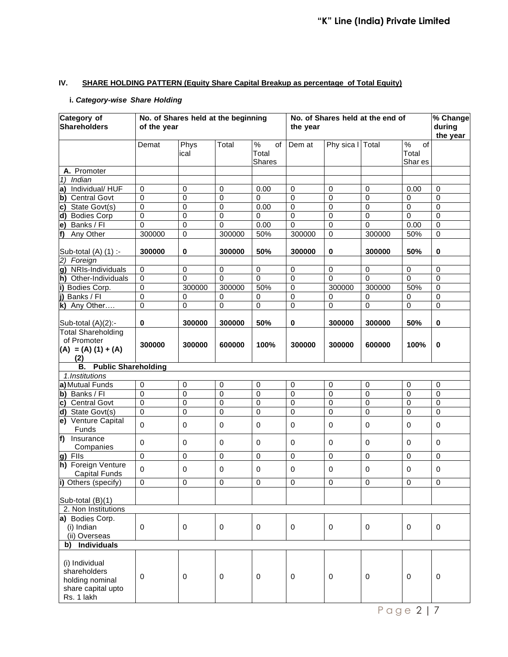# **IV. SHARE HOLDING PATTERN (Equity Share Capital Breakup as percentage of Total Equity)**

### **i.** *Category-wise Share Holding*

| Category of<br>Shareholders                                                           |             | No. of Shares held at the beginning<br>No. of Shares held at the end of<br>of the year<br>the year |             |                                      | % Change<br>during<br>the year |                  |                |                                         |                |
|---------------------------------------------------------------------------------------|-------------|----------------------------------------------------------------------------------------------------|-------------|--------------------------------------|--------------------------------|------------------|----------------|-----------------------------------------|----------------|
|                                                                                       | Demat       | Phys<br>ical                                                                                       | Total       | $\%$<br>of<br>Total<br><b>Shares</b> | Dem at                         | Phy sica I Total |                | $\frac{1}{2}$<br>of<br>Total<br>Shar es |                |
| A. Promoter                                                                           |             |                                                                                                    |             |                                      |                                |                  |                |                                         |                |
| Indian<br>1)                                                                          |             |                                                                                                    |             |                                      |                                |                  |                |                                         |                |
| Individual/HUF<br>la)                                                                 | $\mathbf 0$ | 0                                                                                                  | $\mathbf 0$ | 0.00                                 | $\mathbf 0$                    | $\mathbf 0$      | 0              | 0.00                                    | $\Omega$       |
| b)<br><b>Central Govt</b>                                                             | 0           | 0                                                                                                  | $\pmb{0}$   | 0                                    | 0                              | 0                | $\mathbf 0$    | 0                                       | $\mathbf 0$    |
| State Govt(s)<br>C)                                                                   | 0           | 0                                                                                                  | $\mathbf 0$ | 0.00                                 | $\mathbf 0$                    | $\mathbf 0$      | 0              | 0                                       | 0              |
| <b>Bodies Corp</b><br>d)                                                              | 0           | 0                                                                                                  | $\pmb{0}$   | $\mathbf 0$                          | $\pmb{0}$                      | $\mathbf 0$      | $\mathbf 0$    | $\mathbf 0$                             | $\mathbf 0$    |
| Banks / Fl<br>e)                                                                      | $\Omega$    | 0                                                                                                  | 0           | 0.00                                 | $\overline{0}$                 | $\mathbf 0$      | $\overline{0}$ | 0.00                                    | $\overline{0}$ |
| f)<br>Any Other                                                                       | 300000      | 0                                                                                                  | 300000      | 50%                                  | 300000                         | $\mathbf 0$      | 300000         | 50%                                     | $\mathbf 0$    |
| Sub-total (A) (1) :-                                                                  | 300000      | 0                                                                                                  | 300000      | 50%                                  | 300000                         | 0                | 300000         | 50%                                     | 0              |
| Foreign<br>(2)                                                                        |             |                                                                                                    |             |                                      |                                |                  |                |                                         |                |
| g) NRIs-Individuals                                                                   | 0           | 0                                                                                                  | 0           | 0                                    | 0                              | 0                | 0              | 0                                       | $\Omega$       |
| h) Other-Individuals                                                                  | $\mathbf 0$ | 0                                                                                                  | $\mathbf 0$ | $\Omega$                             | $\mathbf 0$                    | $\Omega$         | $\overline{0}$ | $\mathbf{0}$                            | $\Omega$       |
| i)<br>Bodies Corp.                                                                    | 0           | 300000                                                                                             | 300000      | 50%                                  | 0                              | 300000           | 300000         | 50%                                     | 0              |
| Banks / Fl<br>j)                                                                      | 0           | 0                                                                                                  | 0           | 0                                    | $\mathbf 0$                    | 0                | 0              | 0                                       | 0              |
| k) Any Other                                                                          | $\Omega$    | $\mathbf 0$                                                                                        | $\mathbf 0$ | $\mathbf 0$                          | 0                              | $\mathbf 0$      | $\mathbf 0$    | 0                                       | $\Omega$       |
| Sub-total (A)(2):-                                                                    | 0           | 300000                                                                                             | 300000      | 50%                                  | 0                              | 300000           | 300000         | 50%                                     | 0              |
| <b>Total Shareholding</b>                                                             |             |                                                                                                    |             |                                      |                                |                  |                |                                         |                |
| of Promoter<br>$(A) = (A) (1) + (A)$<br>(2)                                           | 300000      | 300000                                                                                             | 600000      | 100%                                 | 300000                         | 300000           | 600000         | 100%                                    | 0              |
| <b>Public Shareholding</b><br>В.                                                      |             |                                                                                                    |             |                                      |                                |                  |                |                                         |                |
| 1.Institutions                                                                        |             |                                                                                                    |             |                                      |                                |                  |                |                                         |                |
| a) Mutual Funds                                                                       | 0           | 0                                                                                                  | 0           | $\mathbf 0$                          | $\mathbf 0$                    | $\mathbf 0$      | 0              | 0                                       | $\mathbf 0$    |
| b) Banks / Fl                                                                         | $\Omega$    | 0                                                                                                  | 0           | $\mathbf 0$                          | 0                              | 0                | 0              | $\Omega$                                | $\Omega$       |
| $\overline{c)}$<br><b>Central Govt</b>                                                | 0           | 0                                                                                                  | $\mathbf 0$ | 0                                    | $\mathbf 0$                    | 0                | 0              | 0                                       | 0              |
| State Govt(s)<br>d)                                                                   | 0           | 0                                                                                                  | 0           | 0                                    | 0                              | 0                | $\mathbf 0$    | 0                                       | $\mathbf 0$    |
| e) Venture Capital<br>Funds                                                           | $\Omega$    | 0                                                                                                  | 0           | 0                                    | 0                              | 0                | 0              | 0                                       | $\mathbf 0$    |
| f)<br>Insurance<br>Companies                                                          | 0           | 0                                                                                                  | 0           | 0                                    | $\mathbf 0$                    | 0                | 0              | $\Omega$                                | $\Omega$       |
| g) Fils                                                                               | $\Omega$    | 0                                                                                                  | $\mathbf 0$ | $\mathbf 0$                          | $\mathbf 0$                    | $\mathbf 0$      | $\mathbf 0$    | $\mathbf 0$                             | $\mathbf 0$    |
| h) Foreign Venture<br><b>Capital Funds</b>                                            | 0           | 0                                                                                                  | 0           | 0                                    | 0                              | 0                | 0              | 0                                       | $\mathbf 0$    |
| i) Others (specify)                                                                   | $\Omega$    | 0                                                                                                  | $\Omega$    | $\Omega$                             | $\Omega$                       | $\Omega$         | $\Omega$       | $\Omega$                                | $\Omega$       |
| Sub-total (B)(1)                                                                      |             |                                                                                                    |             |                                      |                                |                  |                |                                         |                |
| 2. Non Institutions                                                                   |             |                                                                                                    |             |                                      |                                |                  |                |                                         |                |
| a) Bodies Corp.<br>(i) Indian<br>(ii) Overseas                                        | $\mathbf 0$ | 0                                                                                                  | $\mathbf 0$ | 0                                    | $\mathbf 0$                    | $\mathbf 0$      | $\mathbf 0$    | $\mathbf 0$                             | $\mathbf 0$    |
| <b>Individuals</b><br>b)                                                              |             |                                                                                                    |             |                                      |                                |                  |                |                                         |                |
| (i) Individual<br>shareholders<br>holding nominal<br>share capital upto<br>Rs. 1 lakh | 0           | 0                                                                                                  | 0           | 0                                    | 0                              | 0                | $\mathbf 0$    | $\mathbf 0$                             | 0              |

P a g e 2 | 7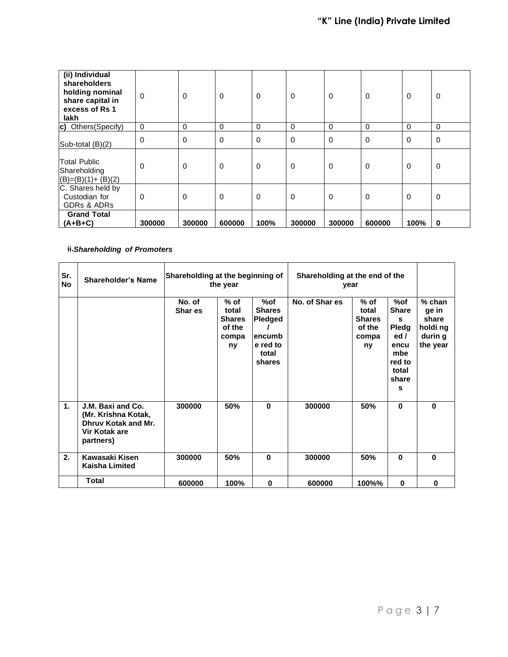| (ii) Individual<br>shareholders<br>holding nominal<br>share capital in<br>excess of Rs 1<br>lakh | $\mathbf 0$ | $\Omega$    | $\Omega$    | $\mathbf 0$ | $\Omega$    | $\Omega$    | 0           | $\Omega$    | 0        |
|--------------------------------------------------------------------------------------------------|-------------|-------------|-------------|-------------|-------------|-------------|-------------|-------------|----------|
| c) Others (Specify)                                                                              | 0           | 0           | 0           | 0           | 0           | 0           | 0           | $\mathbf 0$ | 0        |
| Sub-total (B)(2)                                                                                 | $\mathbf 0$ | 0           | $\mathbf 0$ | $\mathbf 0$ | 0           | 0           | $\mathbf 0$ | $\Omega$    | 0        |
| <b>Total Public</b><br>Shareholding<br>$(B)=(B)(1)+(B)(2)$                                       | $\Omega$    | 0           | 0           | 0           | 0           | 0           | 0           | 0           | 0        |
| C. Shares held by<br>Custodian for<br><b>GDRs &amp; ADRs</b>                                     | 0           | $\mathbf 0$ | $\mathbf 0$ | $\mathbf 0$ | $\mathbf 0$ | $\mathbf 0$ | 0           | 0           | 0        |
| <b>Grand Total</b><br>$(A+B+C)$                                                                  | 300000      | 300000      | 600000      | 100%        | 300000      | 300000      | 600000      | 100%        | $\bf{0}$ |

**ii.***Shareholding of Promoters*

| Sr.<br>No | <b>Shareholder's Name</b>                                                                     | Shareholding at the beginning of<br>the year |                                                           |                                                                           | Shareholding at the end of the<br>year |                                                           |                                                                                          |                                                               |
|-----------|-----------------------------------------------------------------------------------------------|----------------------------------------------|-----------------------------------------------------------|---------------------------------------------------------------------------|----------------------------------------|-----------------------------------------------------------|------------------------------------------------------------------------------------------|---------------------------------------------------------------|
|           |                                                                                               | No. of<br>Shar es                            | $%$ of<br>total<br><b>Shares</b><br>of the<br>compa<br>ny | %of<br><b>Shares</b><br>Pledged<br>lencumb<br>e red to<br>total<br>shares | No. of Shar es                         | $%$ of<br>total<br><b>Shares</b><br>of the<br>compa<br>ny | %of<br><b>Share</b><br>s<br>Pledg<br>ed/<br>encu<br>mbe<br>red to<br>total<br>share<br>s | $%$ chan<br>ge in<br>share<br>holdi ng<br>durin g<br>the year |
| 1.        | J.M. Baxi and Co.<br>(Mr. Krishna Kotak,<br>Dhruy Kotak and Mr.<br>Vir Kotak are<br>partners) | 300000                                       | 50%                                                       | $\bf{0}$                                                                  | 300000                                 | 50%                                                       | $\bf{0}$                                                                                 | $\bf{0}$                                                      |
| 2.        | Kawasaki Kisen<br><b>Kaisha Limited</b>                                                       | 300000                                       | 50%                                                       | $\bf{0}$                                                                  | 300000                                 | 50%                                                       | $\bf{0}$                                                                                 | $\bf{0}$                                                      |
|           | <b>Total</b>                                                                                  | 600000                                       | 100%                                                      | 0                                                                         | 600000                                 | 100%%                                                     | $\bf{0}$                                                                                 | 0                                                             |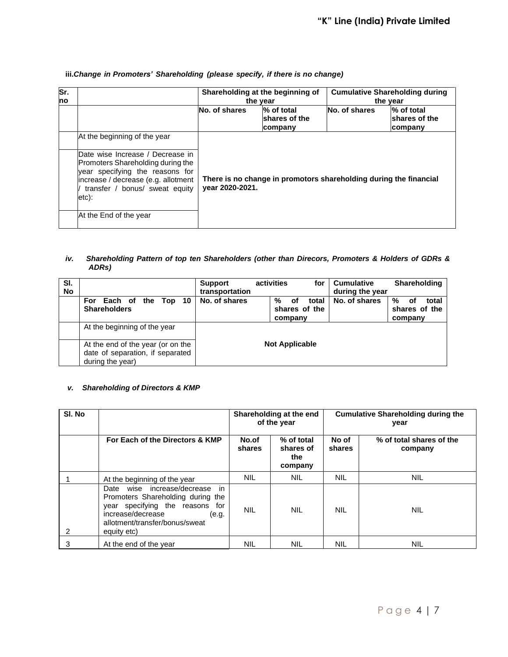| Sr.<br>no |                                                                                                                                                                                                                         | Shareholding at the beginning of<br>the year |                                                                   | <b>Cumulative Shareholding during</b><br>the year |                                        |  |
|-----------|-------------------------------------------------------------------------------------------------------------------------------------------------------------------------------------------------------------------------|----------------------------------------------|-------------------------------------------------------------------|---------------------------------------------------|----------------------------------------|--|
|           |                                                                                                                                                                                                                         | No. of shares                                | % of total<br>shares of the<br>company                            | No. of shares                                     | % of total<br>shares of the<br>company |  |
|           | At the beginning of the year                                                                                                                                                                                            |                                              |                                                                   |                                                   |                                        |  |
|           | Date wise Increase / Decrease in<br>Promoters Shareholding during the<br>year specifying the reasons for<br>increase / decrease (e.g. allotment<br>transfer / bonus/ sweat equity<br>$etc)$ :<br>At the End of the year | year 2020-2021.                              | There is no change in promotors shareholding during the financial |                                                   |                                        |  |

### **iii.***Change in Promoters' Shareholding (please specify, if there is no change)*

#### *iv. Shareholding Pattern of top ten Shareholders (other than Direcors, Promoters & Holders of GDRs & ADRs)*

| SI.<br>No |                                                                                           | Support<br>transportation | activities<br>for                            | <b>Cumulative</b><br>during the year | <b>Shareholding</b>                          |
|-----------|-------------------------------------------------------------------------------------------|---------------------------|----------------------------------------------|--------------------------------------|----------------------------------------------|
|           | For Each of the Top 10<br><b>Shareholders</b>                                             | No. of shares             | %<br>total<br>оf<br>shares of the<br>company | No. of shares                        | %<br>total<br>оf<br>shares of the<br>company |
|           | At the beginning of the year                                                              |                           |                                              |                                      |                                              |
|           | At the end of the year (or on the<br>date of separation, if separated<br>during the year) |                           | <b>Not Applicable</b>                        |                                      |                                              |

## *v. Shareholding of Directors & KMP*

| SI. No |                                                                                                                                                                                       |                 | Shareholding at the end<br>of the year    |                 | <b>Cumulative Shareholding during the</b><br>year |  |
|--------|---------------------------------------------------------------------------------------------------------------------------------------------------------------------------------------|-----------------|-------------------------------------------|-----------------|---------------------------------------------------|--|
|        | For Each of the Directors & KMP                                                                                                                                                       | No.of<br>shares | % of total<br>shares of<br>the<br>company | No of<br>shares | % of total shares of the<br>company               |  |
|        | At the beginning of the year                                                                                                                                                          | <b>NIL</b>      | <b>NIL</b>                                | <b>NIL</b>      | <b>NIL</b>                                        |  |
| 2      | Date wise increase/decrease in<br>Promoters Shareholding during the<br>year specifying the reasons for<br>increase/decrease<br>(e.g.<br>allotment/transfer/bonus/sweat<br>equity etc) | <b>NIL</b>      | <b>NIL</b>                                | <b>NIL</b>      | NIL                                               |  |
| 3      | At the end of the year                                                                                                                                                                | <b>NIL</b>      | NIL                                       | NIL             | NIL                                               |  |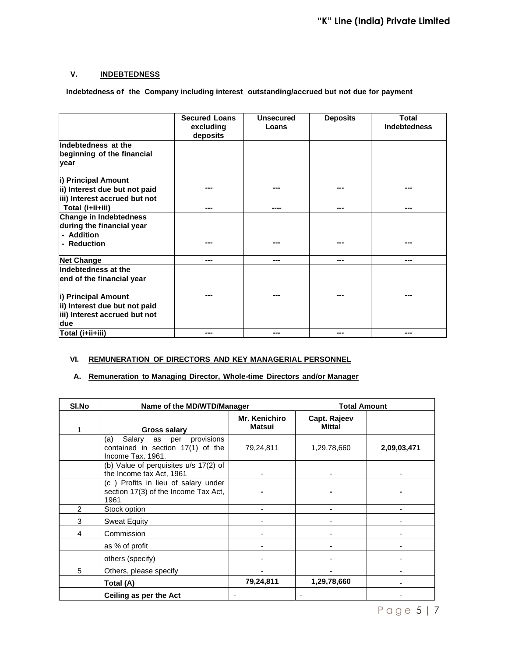## **V. INDEBTEDNESS**

### **Indebtedness of the Company including interest outstanding/accrued but not due for payment**

|                                                                                                                                           | <b>Secured Loans</b><br>excluding<br>deposits | <b>Unsecured</b><br>Loans | <b>Deposits</b> | <b>Total</b><br><b>Indebtedness</b> |
|-------------------------------------------------------------------------------------------------------------------------------------------|-----------------------------------------------|---------------------------|-----------------|-------------------------------------|
| Indebtedness at the<br>beginning of the financial<br><b>vear</b>                                                                          |                                               |                           |                 |                                     |
| i) Principal Amount<br>ii) Interest due but not paid<br>iii) Interest accrued but not                                                     | ---                                           | ---                       | ---             | ---                                 |
| Total (i+ii+iii)                                                                                                                          | ---                                           | ----                      | ---             | ---                                 |
| Change in Indebtedness<br>during the financial year<br>- Addition<br>- Reduction                                                          | ---                                           |                           | ---             |                                     |
| <b>Net Change</b>                                                                                                                         | ---                                           | ---                       | ---             | ---                                 |
| Indebtedness at the<br>end of the financial year<br>i) Principal Amount<br>ii) Interest due but not paid<br>iii) Interest accrued but not | ---                                           | ---                       | ---             | $- - -$                             |
| due                                                                                                                                       |                                               |                           |                 |                                     |
| Total (i+ii+iii)                                                                                                                          | ---                                           | ---                       | ---             | ---                                 |

### **VI. REMUNERATION OF DIRECTORS AND KEY MANAGERIAL PERSONNEL**

## **A. Remuneration to Managing Director, Whole-time Directors and/or Manager**

| SI.No         | Name of the MD/WTD/Manager                                                                   |                         | <b>Total Amount</b>           |             |  |
|---------------|----------------------------------------------------------------------------------------------|-------------------------|-------------------------------|-------------|--|
|               | Gross salary                                                                                 | Mr. Kenichiro<br>Matsui | Capt. Rajeev<br><b>Mittal</b> |             |  |
|               | as per provisions<br>(a)<br>Salary<br>contained in section 17(1) of the<br>Income Tax, 1961. | 79,24,811               | 1,29,78,660                   | 2,09,03,471 |  |
|               | (b) Value of perquisites u/s 17(2) of<br>the Income tax Act, 1961                            |                         |                               |             |  |
|               | (c) Profits in lieu of salary under<br>section 17(3) of the Income Tax Act,<br>1961          |                         |                               |             |  |
| $\mathcal{P}$ | Stock option                                                                                 |                         |                               |             |  |
| 3             | <b>Sweat Equity</b>                                                                          |                         |                               |             |  |
| 4             | Commission                                                                                   |                         |                               |             |  |
|               | as % of profit                                                                               |                         |                               |             |  |
|               | others (specify)                                                                             |                         |                               |             |  |
| 5             | Others, please specify                                                                       |                         |                               |             |  |
|               | Total (A)                                                                                    | 79,24,811               | 1,29,78,660                   |             |  |
|               | Ceiling as per the Act                                                                       |                         |                               |             |  |

P a g e 5 | 7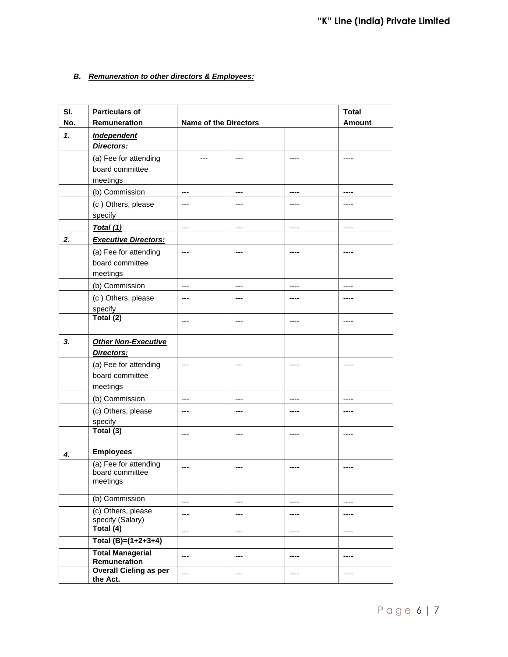# *B. Remuneration to other directors & Employees:*

| SI. | <b>Particulars of</b>         |                              |       |           | <b>Total</b> |
|-----|-------------------------------|------------------------------|-------|-----------|--------------|
| No. | Remuneration                  | <b>Name of the Directors</b> |       |           | Amount       |
| 1.  | <b>Independent</b>            |                              |       |           |              |
|     | <b>Directors:</b>             |                              |       |           |              |
|     | (a) Fee for attending         |                              |       |           |              |
|     | board committee               |                              |       |           |              |
|     | meetings                      |                              |       |           |              |
|     | (b) Commission                | ---                          | $---$ |           |              |
|     | (c) Others, please            | ---                          | $---$ | ----      | ----         |
|     | specify                       |                              |       |           |              |
|     | Total $(1)$                   | ---                          | $---$ | ----      |              |
| 2.  | <b>Executive Directors:</b>   |                              |       |           |              |
|     | (a) Fee for attending         | ---                          | ---   | ----      | ----         |
|     | board committee               |                              |       |           |              |
|     | meetings                      |                              |       |           |              |
|     | (b) Commission                | ---                          | $---$ | $---$     | $-----$      |
|     | (c) Others, please            | ---                          | ---   |           | ----         |
|     | specify                       |                              |       |           |              |
|     | Total (2)                     | ---                          | ---   | ----      | ----         |
| 3.  | <b>Other Non-Executive</b>    |                              |       |           |              |
|     | <b>Directors:</b>             |                              |       |           |              |
|     | (a) Fee for attending         | ---                          | $---$ | ----      | ----         |
|     | board committee               |                              |       |           |              |
|     | meetings                      |                              |       |           |              |
|     | (b) Commission                | ---                          | ---   |           |              |
|     | (c) Others, please            | $---$                        | ---   | ----      | ----         |
|     | specify                       |                              |       |           |              |
|     | $\overline{\text{Total (3)}}$ | $---$                        | $---$ | $- - - -$ | $- - - -$    |
|     | <b>Employees</b>              |                              |       |           |              |
| 4.  | (a) Fee for attending         |                              |       |           |              |
|     | board committee               | ---                          | ---   | ----      |              |
|     | meetings                      |                              |       |           |              |
|     | (b) Commission                | ---                          | ---   | ----      | ----         |
|     | (c) Others, please            | ---                          | ---   | ----      | ----         |
|     | specify (Salary)<br>Total (4) | ---                          | ---   | ----      | ----         |
|     | Total $(B)=(1+2+3+4)$         |                              |       |           |              |
|     | <b>Total Managerial</b>       |                              |       |           |              |
|     | Remuneration                  | ---                          | ---   | ----      | ----         |
|     | Overall Cieling as per        | $---$                        | ---   | ----      | ----         |
|     | the Act.                      |                              |       |           |              |